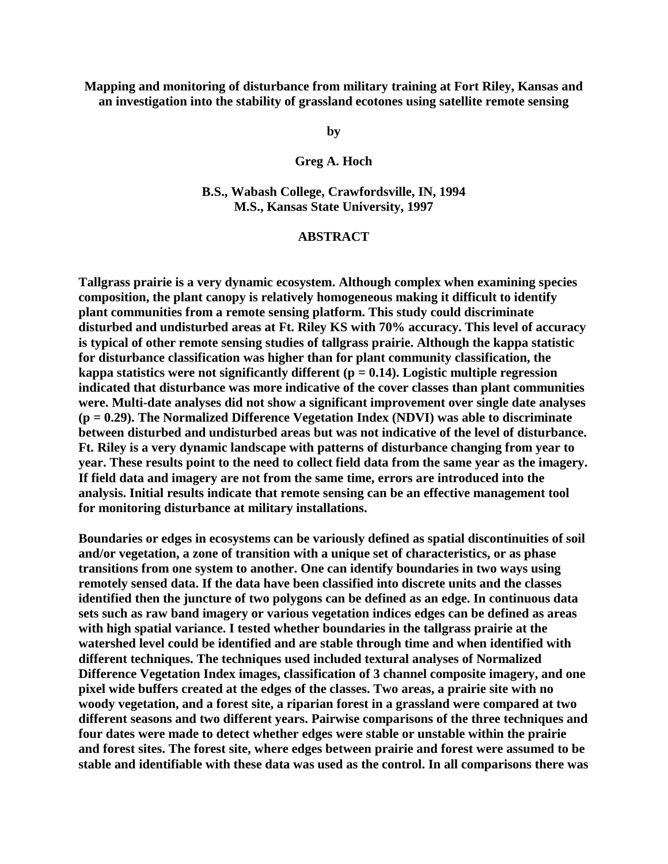**Mapping and monitoring of disturbance from military training at Fort Riley, Kansas and an investigation into the stability of grassland ecotones using satellite remote sensing**

**by**

## **Greg A. Hoch**

**B.S., Wabash College, Crawfordsville, IN, 1994 M.S., Kansas State University, 1997** 

## **ABSTRACT**

**Tallgrass prairie is a very dynamic ecosystem. Although complex when examining species composition, the plant canopy is relatively homogeneous making it difficult to identify plant communities from a remote sensing platform. This study could discriminate disturbed and undisturbed areas at Ft. Riley KS with 70% accuracy. This level of accuracy is typical of other remote sensing studies of tallgrass prairie. Although the kappa statistic for disturbance classification was higher than for plant community classification, the kappa statistics were not significantly different (p = 0.14). Logistic multiple regression indicated that disturbance was more indicative of the cover classes than plant communities were. Multi-date analyses did not show a significant improvement over single date analyses (p = 0.29). The Normalized Difference Vegetation Index (NDVI) was able to discriminate between disturbed and undisturbed areas but was not indicative of the level of disturbance. Ft. Riley is a very dynamic landscape with patterns of disturbance changing from year to year. These results point to the need to collect field data from the same year as the imagery. If field data and imagery are not from the same time, errors are introduced into the analysis. Initial results indicate that remote sensing can be an effective management tool for monitoring disturbance at military installations.** 

**Boundaries or edges in ecosystems can be variously defined as spatial discontinuities of soil and/or vegetation, a zone of transition with a unique set of characteristics, or as phase transitions from one system to another. One can identify boundaries in two ways using remotely sensed data. If the data have been classified into discrete units and the classes identified then the juncture of two polygons can be defined as an edge. In continuous data sets such as raw band imagery or various vegetation indices edges can be defined as areas with high spatial variance. I tested whether boundaries in the tallgrass prairie at the watershed level could be identified and are stable through time and when identified with different techniques. The techniques used included textural analyses of Normalized Difference Vegetation Index images, classification of 3 channel composite imagery, and one pixel wide buffers created at the edges of the classes. Two areas, a prairie site with no woody vegetation, and a forest site, a riparian forest in a grassland were compared at two different seasons and two different years. Pairwise comparisons of the three techniques and four dates were made to detect whether edges were stable or unstable within the prairie and forest sites. The forest site, where edges between prairie and forest were assumed to be stable and identifiable with these data was used as the control. In all comparisons there was**